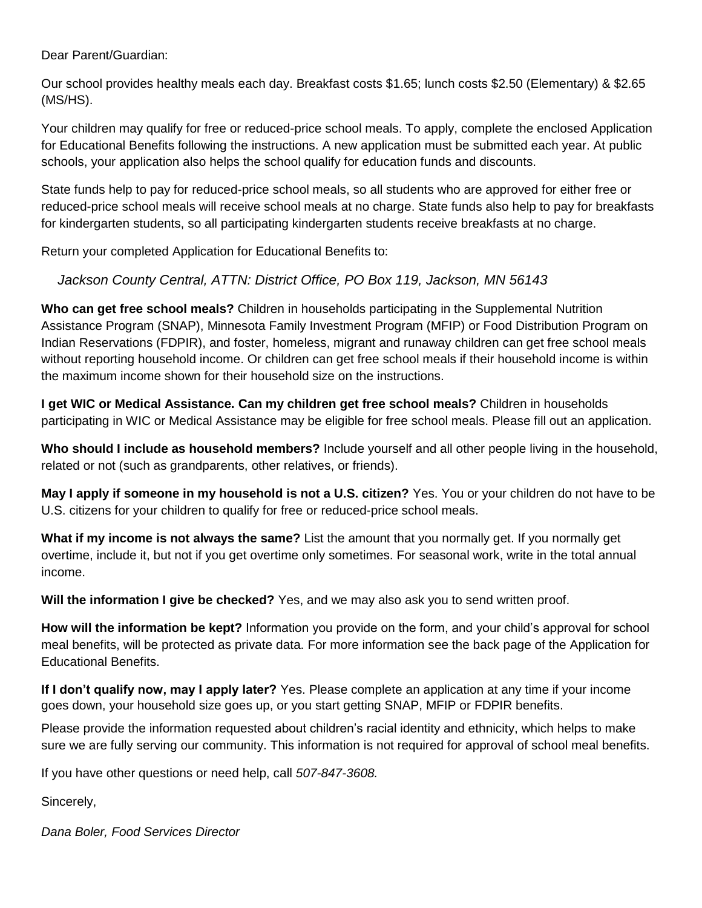Dear Parent/Guardian:

Our school provides healthy meals each day. Breakfast costs \$1.65; lunch costs \$2.50 (Elementary) & \$2.65 (MS/HS).

Your children may qualify for free or reduced-price school meals. To apply, complete the enclosed Application for Educational Benefits following the instructions. A new application must be submitted each year. At public schools, your application also helps the school qualify for education funds and discounts.

State funds help to pay for reduced-price school meals, so all students who are approved for either free or reduced-price school meals will receive school meals at no charge. State funds also help to pay for breakfasts for kindergarten students, so all participating kindergarten students receive breakfasts at no charge.

Return your completed Application for Educational Benefits to:

*Jackson County Central, ATTN: District Office, PO Box 119, Jackson, MN 56143*

**Who can get free school meals?** Children in households participating in the Supplemental Nutrition Assistance Program (SNAP), Minnesota Family Investment Program (MFIP) or Food Distribution Program on Indian Reservations (FDPIR), and foster, homeless, migrant and runaway children can get free school meals without reporting household income. Or children can get free school meals if their household income is within the maximum income shown for their household size on the instructions.

**I get WIC or Medical Assistance. Can my children get free school meals?** Children in households participating in WIC or Medical Assistance may be eligible for free school meals. Please fill out an application.

**Who should I include as household members?** Include yourself and all other people living in the household, related or not (such as grandparents, other relatives, or friends).

**May I apply if someone in my household is not a U.S. citizen?** Yes. You or your children do not have to be U.S. citizens for your children to qualify for free or reduced-price school meals.

**What if my income is not always the same?** List the amount that you normally get. If you normally get overtime, include it, but not if you get overtime only sometimes. For seasonal work, write in the total annual income.

**Will the information I give be checked?** Yes, and we may also ask you to send written proof.

**How will the information be kept?** Information you provide on the form, and your child's approval for school meal benefits, will be protected as private data. For more information see the back page of the Application for Educational Benefits.

**If I don't qualify now, may I apply later?** Yes. Please complete an application at any time if your income goes down, your household size goes up, or you start getting SNAP, MFIP or FDPIR benefits.

Please provide the information requested about children's racial identity and ethnicity, which helps to make sure we are fully serving our community. This information is not required for approval of school meal benefits.

If you have other questions or need help, call *507-847-3608.*

Sincerely,

*Dana Boler, Food Services Director*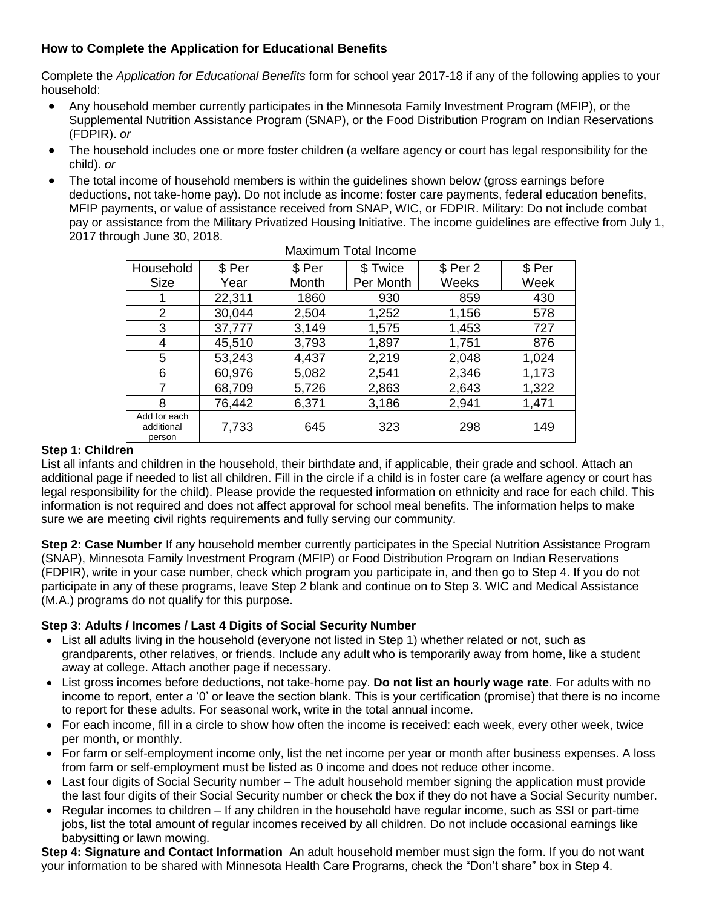## **How to Complete the Application for Educational Benefits**

Complete the *Application for Educational Benefits* form for school year 2017-18 if any of the following applies to your household:

- Any household member currently participates in the Minnesota Family Investment Program (MFIP), or the Supplemental Nutrition Assistance Program (SNAP), or the Food Distribution Program on Indian Reservations (FDPIR). *or*
- The household includes one or more foster children (a welfare agency or court has legal responsibility for the child). *or*
- The total income of household members is within the guidelines shown below (gross earnings before deductions, not take-home pay). Do not include as income: foster care payments, federal education benefits, MFIP payments, or value of assistance received from SNAP, WIC, or FDPIR. Military: Do not include combat pay or assistance from the Military Privatized Housing Initiative. The income guidelines are effective from July 1, 2017 through June 30, 2018.

| Household                            | \$ Per | \$ Per | \$ Twice  | $$$ Per 2 | \$ Per |
|--------------------------------------|--------|--------|-----------|-----------|--------|
| <b>Size</b>                          | Year   | Month  | Per Month | Weeks     | Week   |
|                                      | 22,311 | 1860   | 930       | 859       | 430    |
| 2                                    | 30,044 | 2,504  | 1,252     | 1,156     | 578    |
| 3                                    | 37,777 | 3,149  | 1,575     | 1,453     | 727    |
| 4                                    | 45,510 | 3,793  | 1,897     | 1,751     | 876    |
| 5                                    | 53,243 | 4,437  | 2,219     | 2,048     | 1,024  |
| 6                                    | 60,976 | 5,082  | 2,541     | 2,346     | 1,173  |
| 7                                    | 68,709 | 5,726  | 2,863     | 2,643     | 1,322  |
| 8                                    | 76,442 | 6,371  | 3,186     | 2,941     | 1,471  |
| Add for each<br>additional<br>person | 7,733  | 645    | 323       | 298       | 149    |

### Maximum Total Income

### **Step 1: Children**

List all infants and children in the household, their birthdate and, if applicable, their grade and school. Attach an additional page if needed to list all children. Fill in the circle if a child is in foster care (a welfare agency or court has legal responsibility for the child). Please provide the requested information on ethnicity and race for each child. This information is not required and does not affect approval for school meal benefits. The information helps to make sure we are meeting civil rights requirements and fully serving our community.

**Step 2: Case Number** If any household member currently participates in the Special Nutrition Assistance Program (SNAP), Minnesota Family Investment Program (MFIP) or Food Distribution Program on Indian Reservations (FDPIR), write in your case number, check which program you participate in, and then go to Step 4. If you do not participate in any of these programs, leave Step 2 blank and continue on to Step 3. WIC and Medical Assistance (M.A.) programs do not qualify for this purpose.

## **Step 3: Adults / Incomes / Last 4 Digits of Social Security Number**

- List all adults living in the household (everyone not listed in Step 1) whether related or not, such as grandparents, other relatives, or friends. Include any adult who is temporarily away from home, like a student away at college. Attach another page if necessary.
- List gross incomes before deductions, not take-home pay. **Do not list an hourly wage rate**. For adults with no income to report, enter a '0' or leave the section blank. This is your certification (promise) that there is no income to report for these adults. For seasonal work, write in the total annual income.
- For each income, fill in a circle to show how often the income is received: each week, every other week, twice per month, or monthly.
- For farm or self-employment income only, list the net income per year or month after business expenses. A loss from farm or self-employment must be listed as 0 income and does not reduce other income.
- Last four digits of Social Security number The adult household member signing the application must provide the last four digits of their Social Security number or check the box if they do not have a Social Security number.
- Regular incomes to children If any children in the household have regular income, such as SSI or part-time jobs, list the total amount of regular incomes received by all children. Do not include occasional earnings like babysitting or lawn mowing.

**Step 4: Signature and Contact Information** An adult household member must sign the form. If you do not want your information to be shared with Minnesota Health Care Programs, check the "Don't share" box in Step 4.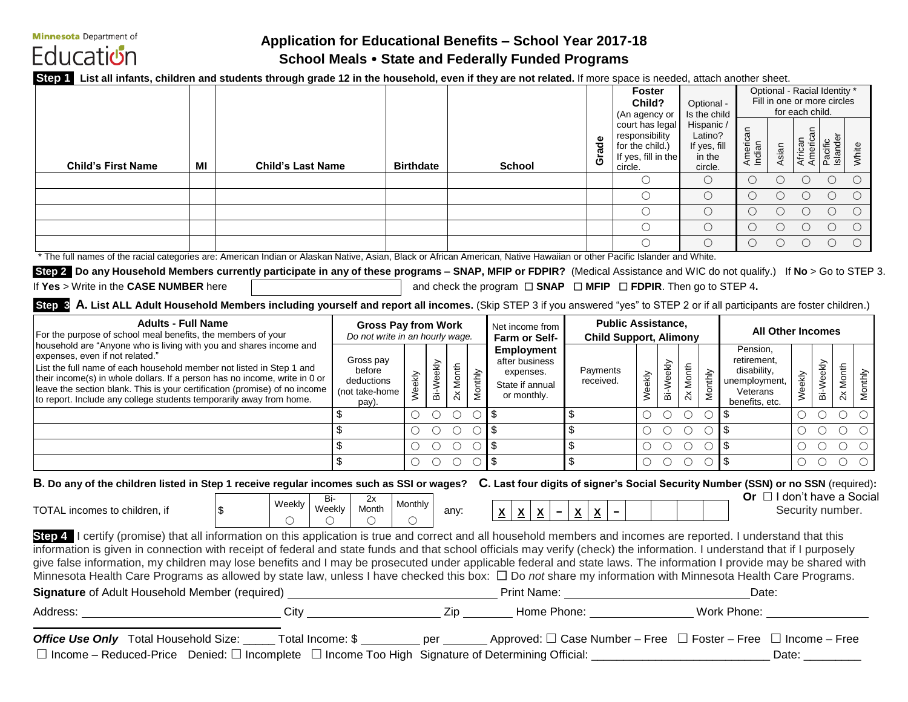**Minnesota** Department of Education

# **Application for Educational Benefits – School Year 2017-18 School Meals State and Federally Funded Programs**

**Step 1 List all infants, children and students through grade 12 in the household, even if they are not related.** If more space is needed, attach another sheet.

|                                                                                                                                                                                 |            |                                       |                                 |         |                                              |          |                    |                   |                                                                                |                          | <b>Foster</b><br>Child?<br>(An agency or  |                                                                                        |                                                        | Optional -<br>Is the child |                                                            | Optional - Racial Identity *<br>Fill in one or more circles<br>for each child. |                                 |                |                     |                                                                |                |         |
|---------------------------------------------------------------------------------------------------------------------------------------------------------------------------------|------------|---------------------------------------|---------------------------------|---------|----------------------------------------------|----------|--------------------|-------------------|--------------------------------------------------------------------------------|--------------------------|-------------------------------------------|----------------------------------------------------------------------------------------|--------------------------------------------------------|----------------------------|------------------------------------------------------------|--------------------------------------------------------------------------------|---------------------------------|----------------|---------------------|----------------------------------------------------------------|----------------|---------|
| <b>Child's First Name</b><br>MI                                                                                                                                                 |            | <b>Child's Last Name</b>              |                                 |         | <b>Birthdate</b>                             |          |                    |                   | <b>School</b>                                                                  |                          | ade<br>້ບັ                                | court has legal<br>responsibility<br>for the child.)<br>If yes, fill in the<br>circle. |                                                        |                            | Hispanic /<br>Latino?<br>If yes, fill<br>in the<br>circle. |                                                                                | American<br>Indian              | Asian          | African<br>American | Pacific<br>Islander                                            | White          |         |
|                                                                                                                                                                                 |            |                                       |                                 |         |                                              |          |                    |                   |                                                                                |                          |                                           | $\bigcirc$                                                                             |                                                        |                            | $\bigcirc$                                                 |                                                                                | $\bigcirc$                      | $\bigcirc$     | $\bigcirc$          | $\bigcirc$                                                     | $\bigcirc$     |         |
|                                                                                                                                                                                 |            |                                       |                                 |         |                                              |          |                    |                   |                                                                                |                          |                                           | $\bigcirc$                                                                             |                                                        |                            | $\bigcirc$                                                 |                                                                                | $\bigcirc$                      | $\bigcirc$     | $\circ$             | $\bigcirc$                                                     | $\bigcirc$     |         |
|                                                                                                                                                                                 |            |                                       |                                 |         |                                              |          |                    |                   |                                                                                |                          |                                           | $\bigcirc$                                                                             |                                                        |                            | $\overline{O}$                                             |                                                                                | $\circ$                         | $\overline{O}$ | $\circ$             | $\circ$                                                        | $\overline{O}$ |         |
|                                                                                                                                                                                 |            |                                       |                                 |         |                                              |          |                    |                   |                                                                                |                          |                                           | $\bigcirc$                                                                             |                                                        |                            | $\circ$                                                    |                                                                                | $\bigcirc$                      | $\bigcirc$     | $\circ$             | $\circ$                                                        | $\circ$        |         |
|                                                                                                                                                                                 |            |                                       |                                 |         |                                              |          |                    |                   |                                                                                |                          |                                           | $\bigcirc$                                                                             |                                                        |                            | $\bigcirc$                                                 |                                                                                | $\bigcirc$                      | $\bigcirc$     | $\circ$             | $\circ$                                                        | $\circ$        |         |
| * The full names of the racial categories are: American Indian or Alaskan Native, Asian, Black or African American, Native Hawaiian or other Pacific Islander and White.        |            |                                       |                                 |         |                                              |          |                    |                   |                                                                                |                          |                                           |                                                                                        |                                                        |                            |                                                            |                                                                                |                                 |                |                     |                                                                |                |         |
| Step 2 Do any Household Members currently participate in any of these programs - SNAP, MFIP or FDPIR? (Medical Assistance and WIC do not qualify.) If No > Go to STEP 3.        |            |                                       |                                 |         |                                              |          |                    |                   |                                                                                |                          |                                           |                                                                                        |                                                        |                            |                                                            |                                                                                |                                 |                |                     |                                                                |                |         |
| If Yes > Write in the CASE NUMBER here                                                                                                                                          |            |                                       |                                 |         |                                              |          |                    |                   | and check the program $\Box$ SNAP $\Box$ MFIP $\Box$ FDPIR. Then go to STEP 4. |                          |                                           |                                                                                        |                                                        |                            |                                                            |                                                                                |                                 |                |                     |                                                                |                |         |
| Step 3 A. List ALL Adult Household Members including yourself and report all incomes. (Skip STEP 3 if you answered "yes" to STEP 2 or if all participants are foster children.) |            |                                       |                                 |         |                                              |          |                    |                   |                                                                                |                          |                                           |                                                                                        |                                                        |                            |                                                            |                                                                                |                                 |                |                     |                                                                |                |         |
| <b>Adults - Full Name</b>                                                                                                                                                       |            |                                       | <b>Gross Pay from Work</b>      |         |                                              |          |                    |                   | Net income from                                                                |                          |                                           | <b>Public Assistance,</b>                                                              |                                                        |                            |                                                            |                                                                                |                                 |                |                     |                                                                |                |         |
| For the purpose of school meal benefits, the members of your                                                                                                                    |            |                                       | Do not write in an hourly wage. |         |                                              |          | Farm or Self-      |                   |                                                                                |                          | <b>Child Support, Alimony</b>             |                                                                                        |                                                        |                            |                                                            | <b>All Other Incomes</b>                                                       |                                 |                |                     |                                                                |                |         |
| household are "Anyone who is living with you and shares income and<br>expenses, even if not related."                                                                           |            |                                       |                                 |         |                                              |          |                    | <b>Employment</b> |                                                                                |                          |                                           |                                                                                        |                                                        |                            |                                                            | Pension,                                                                       |                                 |                |                     |                                                                |                |         |
| List the full name of each household member not listed in Step 1 and                                                                                                            |            |                                       | Gross pay<br>before             |         |                                              |          |                    |                   | after business<br>expenses.                                                    |                          | Payments                                  |                                                                                        |                                                        |                            |                                                            |                                                                                | retirement,<br>disability,      |                |                     |                                                                |                |         |
| their income(s) in whole dollars. If a person has no income, write in 0 or                                                                                                      | deductions |                                       |                                 |         |                                              |          | State if annual    |                   | received.                                                                      |                          |                                           |                                                                                        |                                                        |                            | unemployment,                                              |                                                                                |                                 |                |                     |                                                                |                |         |
| leave the section blank. This is your certification (promise) of no income<br>to report. Include any college students temporarily away from home.                               |            |                                       | (not take-home                  |         | Bi-Weekly<br>Weekly                          | 2x Month | Monthly            |                   | or monthly.                                                                    |                          |                                           | Weekly                                                                                 | Bi-Weekly                                              | 2x Month                   | Monthly                                                    |                                                                                | Veterans                        |                | Weekly              | Bi-Weekly                                                      | 2x Month       | Monthly |
|                                                                                                                                                                                 |            |                                       | pay).                           |         | $\bigcirc$<br>$\circ$                        |          | $\circ$ $\circ$ \$ |                   |                                                                                | $\overline{\mathbf{e}}$  |                                           | $\bigcirc$                                                                             |                                                        | $O$ $O$                    | $\bigcirc$                                                 | $\sqrt{3}$                                                                     | benefits, etc.                  |                | $\bigcirc$          | $\begin{array}{ccc} \circ & \circ & \circ \end{array}$         |                |         |
|                                                                                                                                                                                 |            |                                       | $\overline{\mathcal{S}}$        |         | $\bigcirc$                                   |          | $O$ $O$ $O$ \$     |                   |                                                                                | $\overline{\mathbf{3}}$  |                                           |                                                                                        | $\begin{matrix} 0 & 0 & 0 \end{matrix}$                |                            | $\circ$ \$                                                 |                                                                                |                                 |                |                     | $\begin{array}{ccc} \circ & \circ & \circ & \circ \end{array}$ |                |         |
|                                                                                                                                                                                 |            |                                       | $\bullet$                       |         | $\overline{O}$<br>$\circ$                    |          | $\circ$ $\circ$ \$ |                   |                                                                                | $\overline{\mathcal{L}}$ |                                           |                                                                                        | $\begin{array}{ccc} & O & O & O \end{array}$           |                            | $\bigcirc$                                                 | $\sqrt{3}$                                                                     |                                 |                | $\overline{O}$      | $\begin{array}{ccc} & O & O & O \end{array}$                   |                |         |
|                                                                                                                                                                                 |            |                                       | $\sqrt{3}$                      |         | $\begin{array}{ccc} & O & O & O \end{array}$ |          |                    | $\circ$ \$        |                                                                                | $\overline{\mathcal{S}}$ |                                           |                                                                                        | $\begin{array}{ccc} \circ & \circ & \circ \end{array}$ |                            | $\circ$                                                    | $\frac{1}{2}$                                                                  |                                 |                |                     | $\begin{array}{ccc} \circ & \circ & \circ & \circ \end{array}$ |                |         |
|                                                                                                                                                                                 |            |                                       |                                 |         |                                              |          |                    |                   |                                                                                |                          |                                           |                                                                                        |                                                        |                            |                                                            |                                                                                |                                 |                |                     |                                                                |                |         |
| B. Do any of the children listed in Step 1 receive regular incomes such as SSI or wages? C. Last four digits of signer's Social Security Number (SSN) or no SSN (required):     |            |                                       |                                 |         |                                              |          |                    |                   |                                                                                |                          |                                           |                                                                                        |                                                        |                            |                                                            |                                                                                | Or $\Box$ I don't have a Social |                |                     |                                                                |                |         |
| TOTAL incomes to children, if                                                                                                                                                   |            | Bi-<br>Weekly<br>Weekly<br>$\sqrt{3}$ | 2x<br>Month                     | Monthly |                                              | any:     |                    |                   |                                                                                |                          |                                           |                                                                                        |                                                        |                            |                                                            |                                                                                |                                 |                |                     | Security number.                                               |                |         |
|                                                                                                                                                                                 |            | $\bigcirc$<br>$\bigcirc$              | $\circ$                         | $\circ$ |                                              |          |                    |                   | $ \mathbf{x} \mathbf{x} $ $ \mathbf{x} -$                                      |                          | $\underline{x} \mid \underline{x} \mid -$ |                                                                                        |                                                        |                            |                                                            |                                                                                |                                 |                |                     |                                                                |                |         |
| Step 4   certify (promise) that all information on this application is true and correct and all household members and incomes are reported. I understand that this              |            |                                       |                                 |         |                                              |          |                    |                   |                                                                                |                          |                                           |                                                                                        |                                                        |                            |                                                            |                                                                                |                                 |                |                     |                                                                |                |         |
| information is given in connection with receipt of federal and state funds and that school officials may verify (check) the information. I understand that if I purposely       |            |                                       |                                 |         |                                              |          |                    |                   |                                                                                |                          |                                           |                                                                                        |                                                        |                            |                                                            |                                                                                |                                 |                |                     |                                                                |                |         |
| give false information, my children may lose benefits and I may be prosecuted under applicable federal and state laws. The information I provide may be shared with             |            |                                       |                                 |         |                                              |          |                    |                   |                                                                                |                          |                                           |                                                                                        |                                                        |                            |                                                            |                                                                                |                                 |                |                     |                                                                |                |         |
| Minnesota Health Care Programs as allowed by state law, unless I have checked this box: $\Box$ Do not share my information with Minnesota Health Care Programs.                 |            |                                       |                                 |         |                                              |          |                    |                   |                                                                                |                          |                                           |                                                                                        |                                                        |                            |                                                            |                                                                                |                                 |                |                     |                                                                |                |         |
|                                                                                                                                                                                 |            |                                       |                                 |         |                                              |          |                    |                   |                                                                                |                          |                                           |                                                                                        |                                                        |                            |                                                            |                                                                                | Date:                           |                |                     |                                                                |                |         |
| Address: _______________________________City _______________________Zip _________Home Phone: ________________Work Phone: ______________                                         |            |                                       |                                 |         |                                              |          |                    |                   |                                                                                |                          |                                           |                                                                                        |                                                        |                            |                                                            |                                                                                |                                 |                |                     |                                                                |                |         |
|                                                                                                                                                                                 |            |                                       |                                 |         |                                              |          |                    |                   |                                                                                |                          |                                           |                                                                                        |                                                        |                            |                                                            |                                                                                |                                 |                |                     |                                                                |                |         |
| Office Use Only Total Household Size: _____ Total Income: \$ ________ per ______ Approved: □ Case Number - Free □ Foster - Free □ Income - Free                                 |            |                                       |                                 |         |                                              |          |                    |                   |                                                                                |                          |                                           |                                                                                        |                                                        |                            |                                                            |                                                                                |                                 |                |                     |                                                                |                |         |
|                                                                                                                                                                                 |            |                                       |                                 |         |                                              |          |                    |                   |                                                                                |                          |                                           |                                                                                        |                                                        |                            |                                                            |                                                                                |                                 | Date: $\_\_$   |                     |                                                                |                |         |